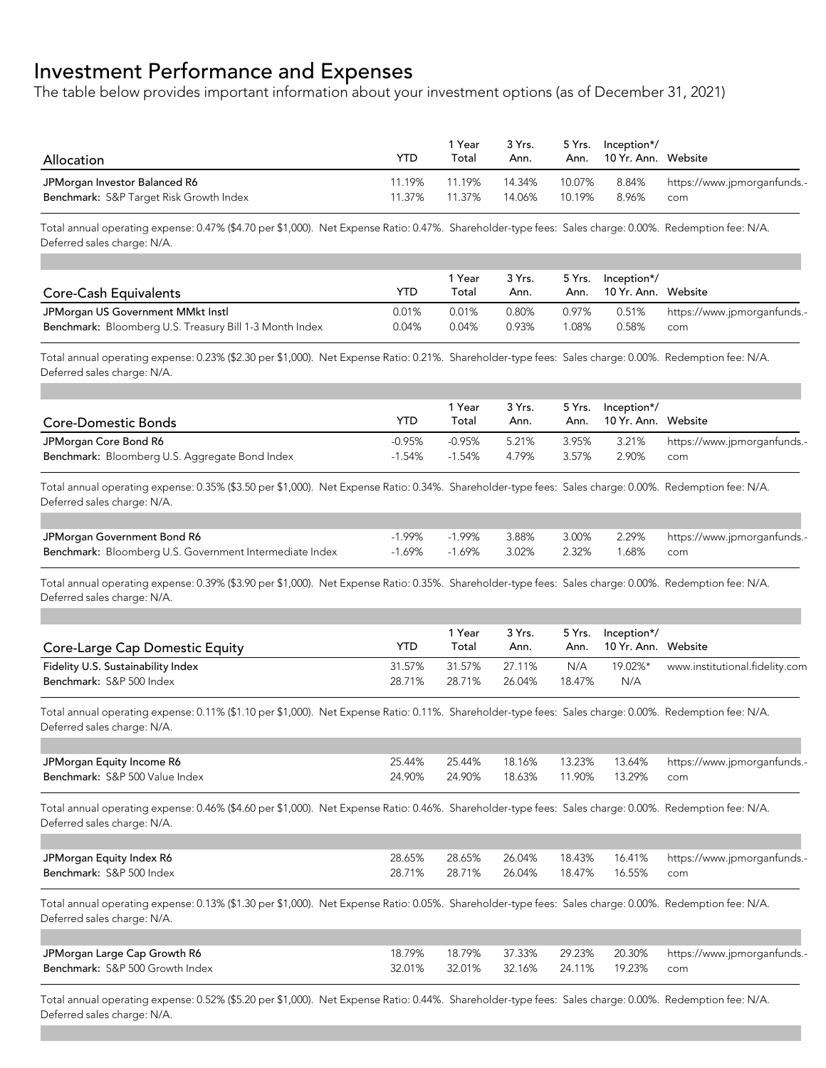## Investment Performance and Expenses

The table below provides important information about your investment options (as of December 31, 2021)

| Allocation                              | YTD    | 1 Year<br>Total | 3 Yrs.<br>Ann. | 5 Yrs. | /*Inception<br>Ann. 10 Yr. Ann. Website |                                   |
|-----------------------------------------|--------|-----------------|----------------|--------|-----------------------------------------|-----------------------------------|
| JPMorgan Investor Balanced R6           | 11.19% | 11.19%          | 14.34%         | 10.07% | 8.96%                                   | 8.84% https://www.jpmorganfunds.- |
| Benchmark: S&P Target Risk Growth Index | 11.37% | 11.37%          | 14.06%         | 10.19% |                                         | com                               |

Total annual operating expense: 0.47% (\$4.70 per \$1,000). Net Expense Ratio: 0.47%. Shareholder-type fees: Sales charge: 0.00%. Redemption fee: N/A. Deferred sales charge: N/A.

|                                                         |       | 1 Year | 3 Yrs. |          | 5 Yrs. Inception*/       |                             |
|---------------------------------------------------------|-------|--------|--------|----------|--------------------------|-----------------------------|
| <b>Core-Cash Equivalents</b>                            | YTD   | Total  | Ann.   |          | Ann. 10 Yr. Ann. Website |                             |
| JPMorgan US Government MMkt Instl                       | 0.01% | 0.01%  | 0.80%  | 0.97%    | 0.51%                    | https://www.jpmorganfunds.- |
| Benchmark: Bloomberg U.S. Treasury Bill 1-3 Month Index | 0.04% | 0.04%  | 0.93%  | $0.08\%$ | 0.58%                    | com                         |

Total annual operating expense: 0.23% (\$2.30 per \$1,000). Net Expense Ratio: 0.21%. Shareholder-type fees: Sales charge: 0.00%. Redemption fee: N/A. Deferred sales charge: N/A.

| Core-Domestic Bonds                            | YTD       | 1 Year<br>Total | 3 Yrs.<br>Ann. |       | 5 Yrs. Inception*/<br>Ann. 10 Yr. Ann. Website |                                   |
|------------------------------------------------|-----------|-----------------|----------------|-------|------------------------------------------------|-----------------------------------|
| JPMorgan Core Bond R6                          | $-0.95\%$ | -0.95%          | 5.21%          | 3.95% |                                                | 3.21% https://www.jpmorganfunds.- |
| Benchmark: Bloomberg U.S. Aggregate Bond Index | $-1.54\%$ | $-1.54\%$       | 4.79%          | 3.57% | 2.90%                                          | com                               |

Total annual operating expense: 0.35% (\$3.50 per \$1,000). Net Expense Ratio: 0.34%. Shareholder-type fees: Sales charge: 0.00%. Redemption fee: N/A. Deferred sales charge: N/A.

| JPMorgan Government Bond R6                             |                                     |  | -1.99% -1.99% 3.88% 3.00% 2.29% https://www.jpmorganfunds.- |
|---------------------------------------------------------|-------------------------------------|--|-------------------------------------------------------------|
| Benchmark: Bloomberg U.S. Government Intermediate Index | -1.69% -1.69% 3.02% 2.32% 1.68% com |  |                                                             |

Total annual operating expense: 0.39% (\$3.90 per \$1,000). Net Expense Ratio: 0.35%. Shareholder-type fees: Sales charge: 0.00%. Redemption fee: N/A. Deferred sales charge: N/A.

| Core-Large Cap Domestic Equity                                 | YTD.             | 1 Year<br>Total  | 3 Yrs.<br>Ann.   |               | 5 Yrs. Inception*/<br>Ann. 10 Yr. Ann. Website |                                        |
|----------------------------------------------------------------|------------------|------------------|------------------|---------------|------------------------------------------------|----------------------------------------|
| Fidelity U.S. Sustainability Index<br>Benchmark: S&P 500 Index | 31.57%<br>28 71% | 31.57%<br>28.71% | 27.11%<br>26.04% | N/A<br>18 47% | N/A                                            | 19.02%* www.institutional.fidelity.com |

Total annual operating expense: 0.11% (\$1.10 per \$1,000). Net Expense Ratio: 0.11%. Shareholder-type fees: Sales charge: 0.00%. Redemption fee: N/A. Deferred sales charge: N/A.

| JPMorgan Equity Income R6      | 25.44% |                                 |  | 25.44% 18.16% 13.23% 13.64% https://www.jpmorganfunds.- |
|--------------------------------|--------|---------------------------------|--|---------------------------------------------------------|
| Benchmark: S&P 500 Value Index | 24.90% | 24.90% 18.63% 11.90% 13.29% com |  |                                                         |

Total annual operating expense: 0.46% (\$4.60 per \$1,000). Net Expense Ratio: 0.46%. Shareholder-type fees: Sales charge: 0.00%. Redemption fee: N/A. Deferred sales charge: N/A.

| JPMorgan Equity Index R6 | 28.65% | 28.65% | 26.04%                          |  | 18.43% 16.41% https://www.jpmorganfunds.- |
|--------------------------|--------|--------|---------------------------------|--|-------------------------------------------|
| Benchmark: S&P 500 Index | 28.71% |        | 28.71% 26.04% 18.47% 16.55% com |  |                                           |

Total annual operating expense: 0.13% (\$1.30 per \$1,000). Net Expense Ratio: 0.05%. Shareholder-type fees: Sales charge: 0.00%. Redemption fee: N/A. Deferred sales charge: N/A.

| JPMorgan Large Cap Growth R6    | 18.79% | 18.79%  37.33%                  |  | 29.23% 20.30% https://www.jpmorganfunds.- |
|---------------------------------|--------|---------------------------------|--|-------------------------------------------|
| Benchmark: S&P 500 Growth Index |        | 32.01% 32.16% 24.11% 19.23% com |  |                                           |

Total annual operating expense: 0.52% (\$5.20 per \$1,000). Net Expense Ratio: 0.44%. Shareholder-type fees: Sales charge: 0.00%. Redemption fee: N/A. Deferred sales charge: N/A.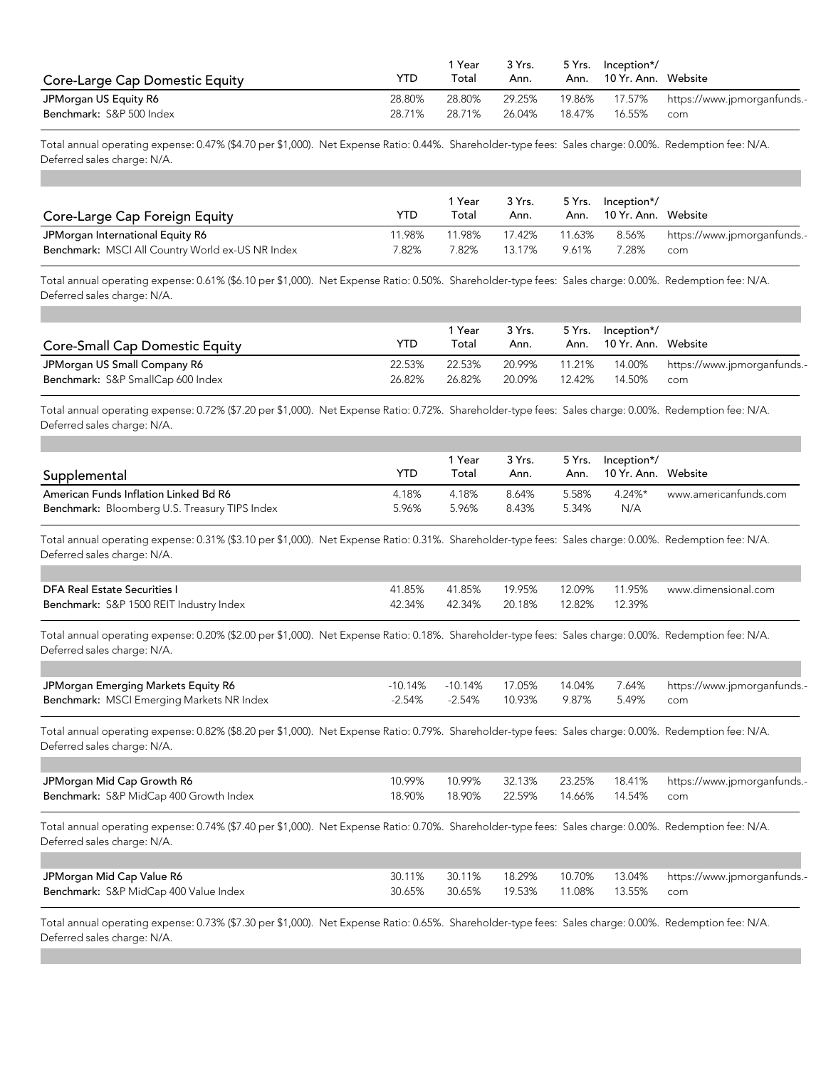| YTD    | 1 Year<br>Total | 3 Yrs.<br>Ann. | 5 Yrs.<br>Ann. |        |                                                |
|--------|-----------------|----------------|----------------|--------|------------------------------------------------|
| 28.80% | 28.80%          | 29.25%         |                | 17.57% | https://www.jpmorganfunds.-                    |
| 28.71% | 28.71%          | 26.04%         | 18.47%         | 16.55% | com                                            |
|        |                 |                |                |        | /*Inception<br>10 Yr. Ann.   Website<br>19.86% |

Total annual operating expense: 0.47% (\$4.70 per \$1,000). Net Expense Ratio: 0.44%. Shareholder-type fees: Sales charge: 0.00%. Redemption fee: N/A. Deferred sales charge: N/A.

| Core-Large Cap Foreign Equity                    | <b>YTD</b> | l Year<br>Total | 3 Yrs.<br>Ann. | 5 Yrs. | Inception*/<br>Ann. 10 Yr. Ann. Website |                                   |
|--------------------------------------------------|------------|-----------------|----------------|--------|-----------------------------------------|-----------------------------------|
| JPMorgan International Equity R6                 | '1.98%     | 11.98%          | 17.42%         | 11.63% |                                         | 8.56% https://www.jpmorganfunds.- |
| Benchmark: MSCI All Country World ex-US NR Index | 7.82%      | 7.82%           | 13.17%         | 9.61%  | 7.28%                                   | com                               |

Total annual operating expense: 0.61% (\$6.10 per \$1,000). Net Expense Ratio: 0.50%. Shareholder-type fees: Sales charge: 0.00%. Redemption fee: N/A. Deferred sales charge: N/A.

| <b>Core-Small Cap Domestic Equity</b> | YTD    | l Year<br>Total | 3 Yrs.<br>Ann. |        | 5 Yrs. Inception*/<br>Ann. 10 Yr. Ann. Website |                                           |
|---------------------------------------|--------|-----------------|----------------|--------|------------------------------------------------|-------------------------------------------|
| JPMorgan US Small Company R6          | 22.53% | 22.53%          | 20.99%         |        |                                                | 11.21% 14.00% https://www.jpmorganfunds.- |
| Benchmark: S&P SmallCap 600 Index     | 26.82% | 26.82%          | 20.09%         | 12.42% | 14.50%                                         | com                                       |

Total annual operating expense: 0.72% (\$7.20 per \$1,000). Net Expense Ratio: 0.72%. Shareholder-type fees: Sales charge: 0.00%. Redemption fee: N/A. Deferred sales charge: N/A.

| Supplemental                                  | YTD   | 1 Year<br>Total | 3 Yrs.<br>Ann. |       | 5 Yrs. Inception*/<br>Ann. 10 Yr. Ann. Website |                       |
|-----------------------------------------------|-------|-----------------|----------------|-------|------------------------------------------------|-----------------------|
| American Funds Inflation Linked Bd R6         | 4.18% | 4.18%           | 8.64%          | 5.58% | 4.24%*                                         | www.americanfunds.com |
| Benchmark: Bloomberg U.S. Treasury TIPS Index | 5.96% | 5.96%           | 8.43%          | 5.34% | N/A                                            |                       |

Total annual operating expense: 0.31% (\$3.10 per \$1,000). Net Expense Ratio: 0.31%. Shareholder-type fees: Sales charge: 0.00%. Redemption fee: N/A. Deferred sales charge: N/A.

| DFA Real Estate Securities I            |  |                                    |  | 41.85% 41.85% 19.95% 12.09% 11.95% www.dimensional.com |
|-----------------------------------------|--|------------------------------------|--|--------------------------------------------------------|
| Benchmark: S&P 1500 REIT Industry Index |  | 42.34% 42.34% 20.18% 12.82% 12.39% |  |                                                        |

Total annual operating expense: 0.20% (\$2.00 per \$1,000). Net Expense Ratio: 0.18%. Shareholder-type fees: Sales charge: 0.00%. Redemption fee: N/A. Deferred sales charge: N/A.

| JPMorgan Emerging Markets Equity R6              |        |        |                        | -10.14% -10.14% 17.05% 14.04% 7.64% https://www.jpmorganfunds.- |
|--------------------------------------------------|--------|--------|------------------------|-----------------------------------------------------------------|
| <b>Benchmark: MSCI Emerging Markets NR Index</b> | -2.54% | -2.54% | 10.93% 9.87% 5.49% com |                                                                 |

Total annual operating expense: 0.82% (\$8.20 per \$1,000). Net Expense Ratio: 0.79%. Shareholder-type fees: Sales charge: 0.00%. Redemption fee: N/A. Deferred sales charge: N/A.

| JPMorgan Mid Cap Growth R6             | 10.99% |                                 |  | 10.99% 32.13% 23.25% 18.41% https://www.jpmorganfunds.- |
|----------------------------------------|--------|---------------------------------|--|---------------------------------------------------------|
| Benchmark: S&P MidCap 400 Growth Index | 18.90% | 18.90% 22.59% 14.66% 14.54% com |  |                                                         |

Total annual operating expense: 0.74% (\$7.40 per \$1,000). Net Expense Ratio: 0.70%. Shareholder-type fees: Sales charge: 0.00%. Redemption fee: N/A. Deferred sales charge: N/A.

| JPMorgan Mid Cap Value R6             |        | 30.11% | 18.29% |  | 10.70% 13.04% https://www.jpmorganfunds.- |
|---------------------------------------|--------|--------|--------|--|-------------------------------------------|
| Benchmark: S&P MidCap 400 Value Index | 30.65% |        |        |  | com                                       |

Total annual operating expense: 0.73% (\$7.30 per \$1,000). Net Expense Ratio: 0.65%. Shareholder-type fees: Sales charge: 0.00%. Redemption fee: N/A. Deferred sales charge: N/A.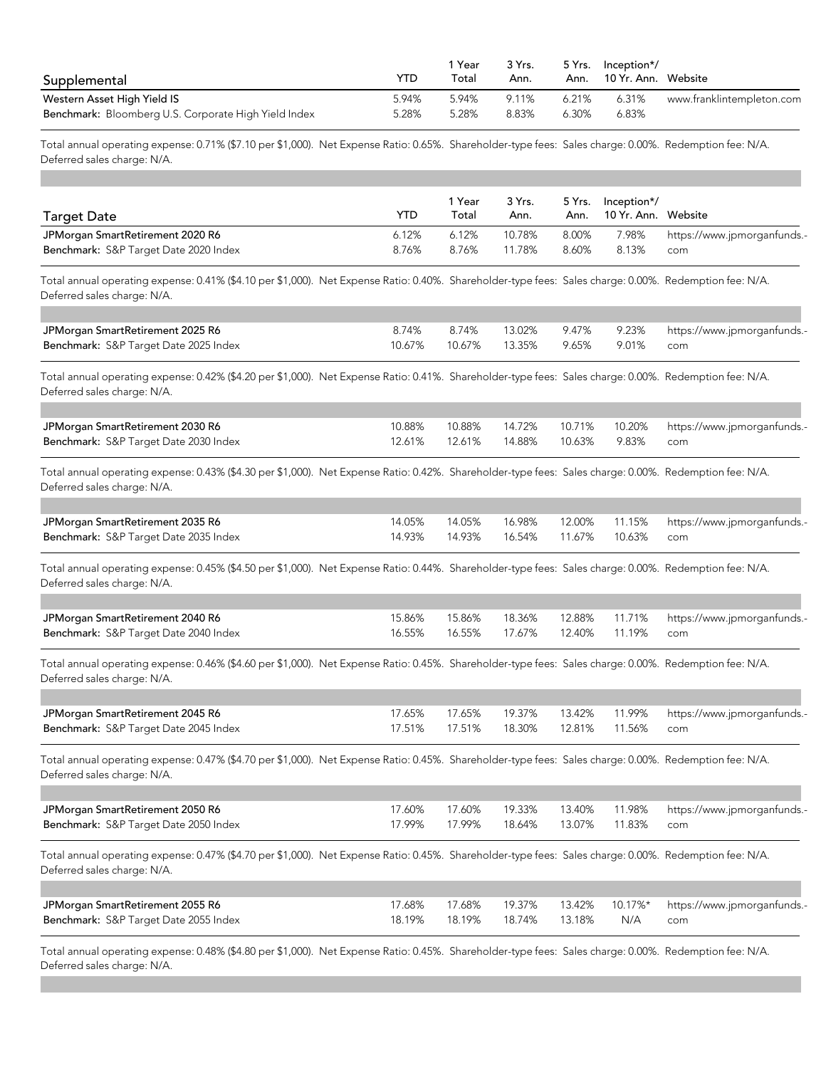| Supplemental                                         | YTD   | Year<br>Total | 3 Yrs.<br>Ann. | Ann.  | 5 Yrs. Inception*/<br>10 Yr. Ann.   Website |                           |
|------------------------------------------------------|-------|---------------|----------------|-------|---------------------------------------------|---------------------------|
| Western Asset High Yield IS                          | 5.94% | 5.94%         | 9.11%          | 6.21% | 6.31%                                       | www.franklintempleton.com |
| Benchmark: Bloomberg U.S. Corporate High Yield Index | 5.28% | 5.28%         | 8.83%          | 6.30% | 6.83%                                       |                           |

Total annual operating expense: 0.71% (\$7.10 per \$1,000). Net Expense Ratio: 0.65%. Shareholder-type fees: Sales charge: 0.00%. Redemption fee: N/A. Deferred sales charge: N/A.

| <b>Target Date</b>                    | YTD   | Year<br>Total | 3 Yrs.<br>Ann. | 5 Yrs. | /*Inception<br>Ann. 10 Yr. Ann. Website |                                   |
|---------------------------------------|-------|---------------|----------------|--------|-----------------------------------------|-----------------------------------|
| JPMorgan SmartRetirement 2020 R6      | 6.12% | 6.12%         | 10.78%         | 8.00%  |                                         | 7.98% https://www.jpmorganfunds.- |
| Benchmark: S&P Target Date 2020 Index | 8.76% | 8.76%         | 11.78%         | 8.60%  | 8.13%                                   | com                               |

Total annual operating expense: 0.41% (\$4.10 per \$1,000). Net Expense Ratio: 0.40%. Shareholder-type fees: Sales charge: 0.00%. Redemption fee: N/A. Deferred sales charge: N/A.

| JPMorgan SmartRetirement 2025 R6      | 8.74% | 8.74% |                                      |  |  |
|---------------------------------------|-------|-------|--------------------------------------|--|--|
| Benchmark: S&P Target Date 2025 Index |       |       | 10.67% 10.67% 13.35% 9.65% 9.01% com |  |  |

Total annual operating expense: 0.42% (\$4.20 per \$1,000). Net Expense Ratio: 0.41%. Shareholder-type fees: Sales charge: 0.00%. Redemption fee: N/A. Deferred sales charge: N/A.

| JPMorgan SmartRetirement 2030 R6      | 10.88% |                                       |  | 10.88% 14.72% 10.71% 10.20% https://www.jpmorganfunds.- |
|---------------------------------------|--------|---------------------------------------|--|---------------------------------------------------------|
| Benchmark: S&P Target Date 2030 Index |        | 12.61% 12.61% 14.88% 10.63% 9.83% com |  |                                                         |

Total annual operating expense: 0.43% (\$4.30 per \$1,000). Net Expense Ratio: 0.42%. Shareholder-type fees: Sales charge: 0.00%. Redemption fee: N/A. Deferred sales charge: N/A.

| JPMorgan SmartRetirement 2035 R6      |                                        |  |  | 14.05% 14.05% 16.98% 12.00% 11.15% https://www.jpmorganfunds.- |
|---------------------------------------|----------------------------------------|--|--|----------------------------------------------------------------|
| Benchmark: S&P Target Date 2035 Index | 14.93% 14.93% 16.54% 11.67% 10.63% com |  |  |                                                                |

Total annual operating expense: 0.45% (\$4.50 per \$1,000). Net Expense Ratio: 0.44%. Shareholder-type fees: Sales charge: 0.00%. Redemption fee: N/A. Deferred sales charge: N/A.

| JPMorgan SmartRetirement 2040 R6      |                                        |  | 15.86% 15.86% 18.36% 12.88% 11.71% https://www.jpmorganfunds.- |
|---------------------------------------|----------------------------------------|--|----------------------------------------------------------------|
| Benchmark: S&P Target Date 2040 Index | 16.55% 16.55% 17.67% 12.40% 11.19% com |  |                                                                |

Total annual operating expense: 0.46% (\$4.60 per \$1,000). Net Expense Ratio: 0.45%. Shareholder-type fees: Sales charge: 0.00%. Redemption fee: N/A. Deferred sales charge: N/A.

| JPMorgan SmartRetirement 2045 R6      |                                             |  | 17.65% 17.65% 19.37% 13.42% 11.99% https://www.jpmorganfunds.- |
|---------------------------------------|---------------------------------------------|--|----------------------------------------------------------------|
| Benchmark: S&P Target Date 2045 Index | 17.51%  17.51%  18.30%  12.81%  11.56%  com |  |                                                                |

Total annual operating expense: 0.47% (\$4.70 per \$1,000). Net Expense Ratio: 0.45%. Shareholder-type fees: Sales charge: 0.00%. Redemption fee: N/A. Deferred sales charge: N/A.

| JPMorgan SmartRetirement 2050 R6      |  |  | 17.60% 17.60% 19.33% 13.40% 11.98% https://www.jpmorganfunds.- |
|---------------------------------------|--|--|----------------------------------------------------------------|
| Benchmark: S&P Target Date 2050 Index |  |  |                                                                |

Total annual operating expense: 0.47% (\$4.70 per \$1,000). Net Expense Ratio: 0.45%. Shareholder-type fees: Sales charge: 0.00%. Redemption fee: N/A. Deferred sales charge: N/A.

| JPMorgan SmartRetirement 2055 R6      |                                 |  | 17.68% 17.68% 19.37% 13.42% 10.17%* https://www.jpmorganfunds.- |
|---------------------------------------|---------------------------------|--|-----------------------------------------------------------------|
| Benchmark: S&P Target Date 2055 Index | 18.19% 18.19% 18.74% 13.18% N/A |  | com                                                             |

Total annual operating expense: 0.48% (\$4.80 per \$1,000). Net Expense Ratio: 0.45%. Shareholder-type fees: Sales charge: 0.00%. Redemption fee: N/A. Deferred sales charge: N/A.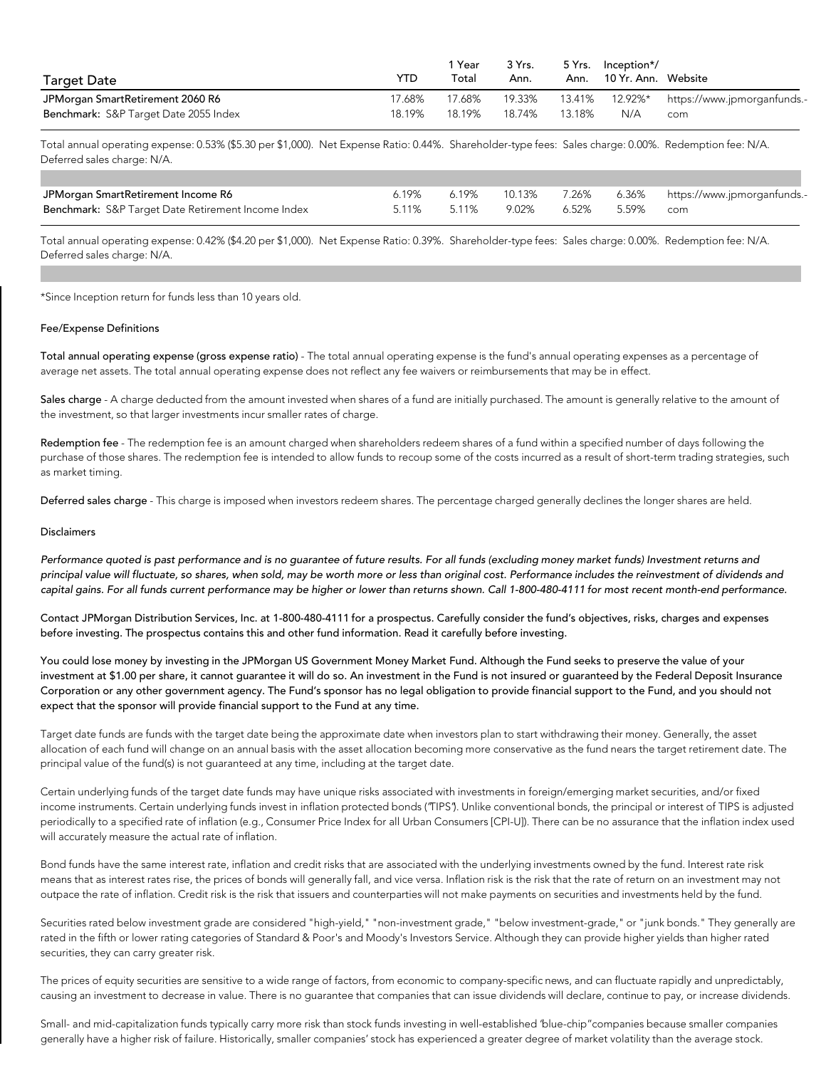| <b>Target Date</b>                    | YTD    | 1 Year<br>Total | 3 Yrs.<br>Ann. |        | 5 Yrs. Inception*/<br>Ann. 10 Yr. Ann. Website |                                     |
|---------------------------------------|--------|-----------------|----------------|--------|------------------------------------------------|-------------------------------------|
| JPMorgan SmartRetirement 2060 R6      | '7.68% | 17.68%          | 19.33%         | 13.41% |                                                | 12.92%* https://www.jpmorganfunds.- |
| Benchmark: S&P Target Date 2055 Index | 18.19% | 18.19%          | 18.74%         | 13.18% | N/A                                            | com                                 |

Total annual operating expense: 0.53% (\$5.30 per \$1,000). Net Expense Ratio: 0.44%. Shareholder-type fees: Sales charge: 0.00%. Redemption fee: N/A. Deferred sales charge: N/A.

| JPMorgan SmartRetirement Income R6                 | 6.19%       | 6.19% |                       |  | 10.13%        7.26%         6.36%        https://www.jpmorganfunds.- |
|----------------------------------------------------|-------------|-------|-----------------------|--|----------------------------------------------------------------------|
| Benchmark: S&P Target Date Retirement Income Index | 5.11% 5.11% |       | 9.02% 6.52% 5.59% com |  |                                                                      |

Total annual operating expense: 0.42% (\$4.20 per \$1,000). Net Expense Ratio: 0.39%. Shareholder-type fees: Sales charge: 0.00%. Redemption fee: N/A. Deferred sales charge: N/A.

\*Since Inception return for funds less than 10 years old.

## Fee/Expense Definitions

Total annual operating expense (gross expense ratio) - The total annual operating expense is the fund's annual operating expenses as a percentage of average net assets. The total annual operating expense does not reflect any fee waivers or reimbursements that may be in effect.

Sales charge - A charge deducted from the amount invested when shares of a fund are initially purchased. The amount is generally relative to the amount of the investment, so that larger investments incur smaller rates of charge.

Redemption fee - The redemption fee is an amount charged when shareholders redeem shares of a fund within a specified number of days following the purchase of those shares. The redemption fee is intended to allow funds to recoup some of the costs incurred as a result of short-term trading strategies, such as market timing.

Deferred sales charge - This charge is imposed when investors redeem shares. The percentage charged generally declines the longer shares are held.

## Disclaimers

Performance quoted is past performance and is no quarantee of future results. For all funds (excluding money market funds) Investment returns and principal value will fluctuate, so shares, when sold, may be worth more or less than original cost. Performance includes the reinvestment of dividends and capital gains. For all funds current performance may be higher or lower than returns shown. Call 1-800-480-4111 for most recent month-end performance.

Contact JPMorgan Distribution Services, Inc. at 1-800-480-4111 for a prospectus. Carefully consider the fund's objectives, risks, charges and expenses before investing. The prospectus contains this and other fund information. Read it carefully before investing.

You could lose money by investing in the JPMorgan US Government Money Market Fund. Although the Fund seeks to preserve the value of your investment at \$1.00 per share, it cannot guarantee it will do so. An investment in the Fund is not insured or guaranteed by the Federal Deposit Insurance Corporation or any other government agency. The Fund's sponsor has no legal obligation to provide financial support to the Fund, and you should not expect that the sponsor will provide financial support to the Fund at any time.

Target date funds are funds with the target date being the approximate date when investors plan to start withdrawing their money. Generally, the asset allocation of each fund will change on an annual basis with the asset allocation becoming more conservative as the fund nears the target retirement date. The principal value of the fund(s) is not guaranteed at any time, including at the target date.

Certain underlying funds of the target date funds may have unique risks associated with investments in foreign/emerging market securities, and/or fixed income instruments. Certain underlying funds invest in inflation protected bonds ("TIPS"). Unlike conventional bonds, the principal or interest of TIPS is adjusted periodically to a specified rate of inflation (e.g., Consumer Price Index for all Urban Consumers [CPI-U]). There can be no assurance that the inflation index used will accurately measure the actual rate of inflation.

Bond funds have the same interest rate, inflation and credit risks that are associated with the underlying investments owned by the fund. Interest rate risk means that as interest rates rise, the prices of bonds will generally fall, and vice versa. Inflation risk is the risk that the rate of return on an investment may not outpace the rate of inflation. Credit risk is the risk that issuers and counterparties will not make payments on securities and investments held by the fund.

Securities rated below investment grade are considered "high-yield," "non-investment grade," "below investment-grade," or "junk bonds." They generally are rated in the fifth or lower rating categories of Standard & Poor's and Moody's Investors Service. Although they can provide higher yields than higher rated securities, they can carry greater risk.

The prices of equity securities are sensitive to a wide range of factors, from economic to company-specific news, and can fluctuate rapidly and unpredictably, causing an investment to decrease in value. There is no guarantee that companies that can issue dividends will declare, continue to pay, or increase dividends.

Small- and mid-capitalization funds typically carry more risk than stock funds investing in well-established "blue-chip" companies because smaller companies generally have a higher risk of failure. Historically, smaller companies' stock has experienced a greater degree of market volatility than the average stock.